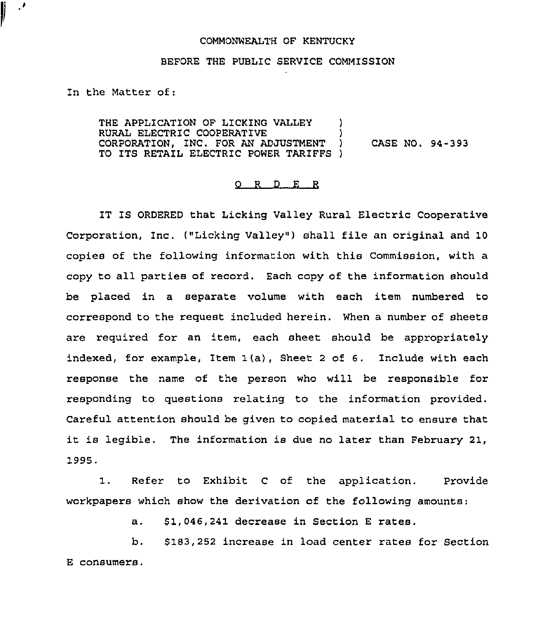## COMMONWEALTH OF KENTUCKY

## BEFORE THE PUBLIC SERVICE COMMISSION

In the Matter of:

 $\mathcal{P}$ ľ

> THE APPLICATION OF LICKING VALLEY ) RURAL ELECTRIC COOPERATIVE  $\overrightarrow{C}$  (ORPORATION, INC. FOR AN ADJUSTMENT ) CORPORATION, INC. FOR AN ADJUSTMENT } CASE NO. 94-393 TO ITS RETAIL ELECTRIC POWER TARIFFS )

## O R D E R

IT IS ORDERED that Licking Valley Rural Electric Cooperative Corporation, Inc. ("Licking Valley"} shall file an original and 10 copies of the following information with this Commission, with a copy to all parties of record. Each copy of the information should be placed in a separate volume with each item numbered to correspond to the request included herein. When a number of sheets are required for an item, each sheet should be appropriately indexed, for example, Item  $1(a)$ , Sheet 2 of 6. Include with each response the name of the person who will be responsible for responding to questions relating to the information provided. Careful attention should be given to copied material to ensure that it is legible. The information is due no later than February 21, 1995.

1. Refer to Exhibit <sup>C</sup> of the application. Provide workpapers which show the derivation of the following amounts:

> \$1,046,241 decrease in Section E rates.  $a.$

b. \$ 183,252 increase in load center rates for Section E consumers.